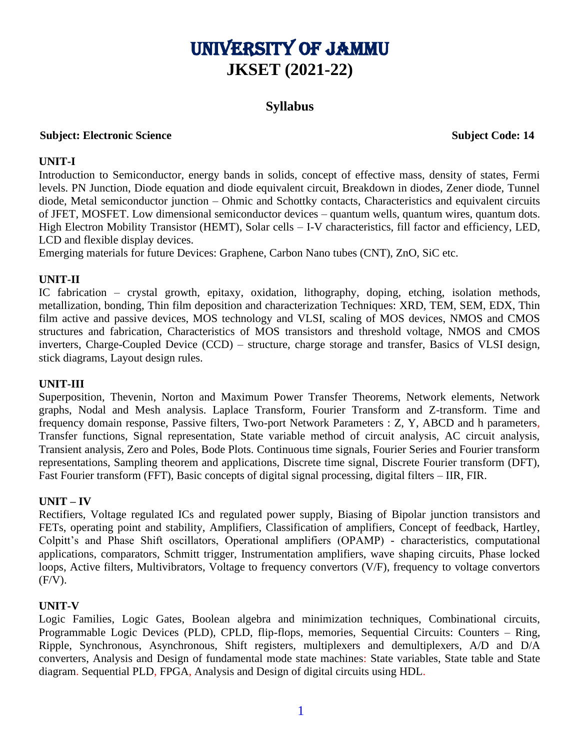# University of Jammu **JKSET (2021-22)**

## **Syllabus**

#### **Subject: Electronic Science Subject: Electronic Science Subject Code: 14**

#### **UNIT-I**

Introduction to Semiconductor, energy bands in solids, concept of effective mass, density of states, Fermi levels. PN Junction, Diode equation and diode equivalent circuit, Breakdown in diodes, Zener diode, Tunnel diode, Metal semiconductor junction – Ohmic and Schottky contacts, Characteristics and equivalent circuits of JFET, MOSFET. Low dimensional semiconductor devices – quantum wells, quantum wires, quantum dots. High Electron Mobility Transistor (HEMT), Solar cells – I-V characteristics, fill factor and efficiency, LED, LCD and flexible display devices.

Emerging materials for future Devices: Graphene, Carbon Nano tubes (CNT), ZnO, SiC etc.

#### **UNIT-II**

IC fabrication – crystal growth, epitaxy, oxidation, lithography, doping, etching, isolation methods, metallization, bonding, Thin film deposition and characterization Techniques: XRD, TEM, SEM, EDX, Thin film active and passive devices, MOS technology and VLSI, scaling of MOS devices, NMOS and CMOS structures and fabrication, Characteristics of MOS transistors and threshold voltage, NMOS and CMOS inverters, Charge-Coupled Device (CCD) – structure, charge storage and transfer, Basics of VLSI design, stick diagrams, Layout design rules.

#### **UNIT-III**

Superposition, Thevenin, Norton and Maximum Power Transfer Theorems, Network elements, Network graphs, Nodal and Mesh analysis. Laplace Transform, Fourier Transform and Z-transform. Time and frequency domain response, Passive filters, Two-port Network Parameters : Z, Y, ABCD and h parameters, Transfer functions, Signal representation, State variable method of circuit analysis, AC circuit analysis, Transient analysis, Zero and Poles, Bode Plots. Continuous time signals, Fourier Series and Fourier transform representations, Sampling theorem and applications, Discrete time signal, Discrete Fourier transform (DFT), Fast Fourier transform (FFT), Basic concepts of digital signal processing, digital filters – IIR, FIR.

### **UNIT – IV**

Rectifiers, Voltage regulated ICs and regulated power supply, Biasing of Bipolar junction transistors and FETs, operating point and stability, Amplifiers, Classification of amplifiers, Concept of feedback, Hartley, Colpitt's and Phase Shift oscillators, Operational amplifiers (OPAMP) - characteristics, computational applications, comparators, Schmitt trigger, Instrumentation amplifiers, wave shaping circuits, Phase locked loops, Active filters, Multivibrators, Voltage to frequency convertors (V/F), frequency to voltage convertors  $(F/V)$ .

#### **UNIT-V**

Logic Families, Logic Gates, Boolean algebra and minimization techniques, Combinational circuits, Programmable Logic Devices (PLD), CPLD, flip-flops, memories, Sequential Circuits: Counters – Ring, Ripple, Synchronous, Asynchronous, Shift registers, multiplexers and demultiplexers, A/D and D/A converters, Analysis and Design of fundamental mode state machines: State variables, State table and State diagram. Sequential PLD, FPGA, Analysis and Design of digital circuits using HDL.